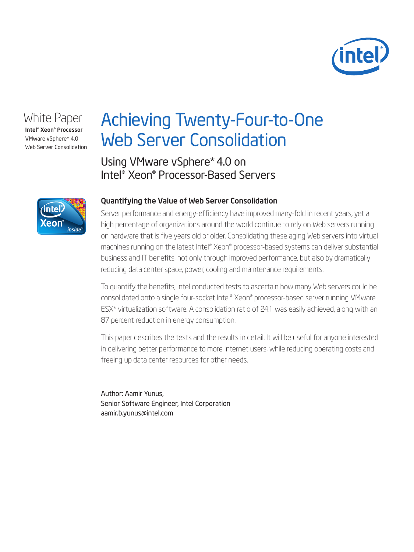

## White Paper

Intel® Xeon® Processor VMware vSphere\* 4.0 Web Server Consolidation

# Achieving Twenty-Four-to-One Web Server Consolidation

Using VMware vSphere\* 4.0 on Intel® Xeon® Processor-Based Servers



#### Quantifying the Value of Web Server Consolidation

Server performance and energy-efficiency have improved many-fold in recent years, yet a high percentage of organizations around the world continue to rely on Web servers running on hardware that is five years old or older. Consolidating these aging Web servers into virtual machines running on the latest Intel® Xeon® processor-based systems can deliver substantial business and IT benefits, not only through improved performance, but also by dramatically reducing data center space, power, cooling and maintenance requirements.

To quantify the benefits, Intel conducted tests to ascertain how many Web servers could be consolidated onto a single four-socket Intel® Xeon® processor-based server running VMware ESX\* virtualization software. A consolidation ratio of 24:1 was easily achieved, along with an 87 percent reduction in energy consumption.

This paper describes the tests and the results in detail. It will be useful for anyone interested in delivering better performance to more Internet users, while reducing operating costs and freeing up data center resources for other needs.

Author: Aamir Yunus, Senior Software Engineer, Intel Corporation aamir.b.yunus@intel.com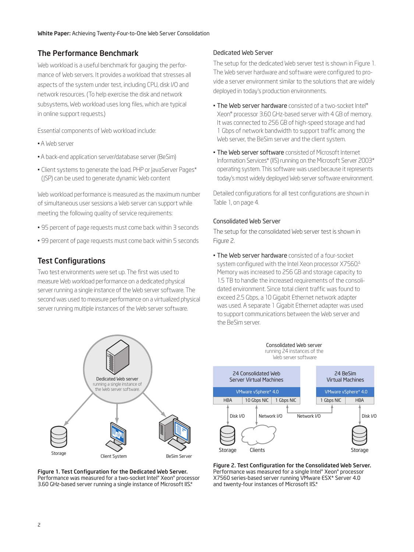### The Performance Benchmark

Web workload is a useful benchmark for gauging the performance of Web servers. It provides a workload that stresses all aspects of the system under test, including CPU, disk I/O and network resources. (To help exercise the disk and network subsystems, Web workload uses long files, which are typical in online support requests.)

Essential components of Web workload include:

- •A Web server
- •A back-end application server/database server (BeSim)
- Client systems to generate the load. PHP or JavaServer Pages\* (JSP) can be used to generate dynamic Web content

Web workload performance is measured as the maximum number of simultaneous user sessions a Web server can support while meeting the following quality of service requirements:

- 95 percent of page requests must come back within 3 seconds
- 99 percent of page requests must come back within 5 seconds

#### Test Configurations

Two test environments were set up. The first was used to measure Web workload performance on a dedicated physical server running a single instance of the Web server software. The second was used to measure performance on a virtualized physical server running multiple instances of the Web server software.



Figure 1. Test Configuration for the Dedicated Web Server. Performance was measured for a two-socket Intel® Xeon® processor 3.60 GHz-based server running a single instance of Microsoft IIS.\*

#### Dedicated Web Server

The setup for the dedicated Web server test is shown in Figure 1. The Web server hardware and software were configured to provide a server environment similar to the solutions that are widely deployed in today's production environments.

- The Web server hardware consisted of a two-socket Intel® Xeon® processor 3.60 GHz-based server with 4 GB of memory. It was connected to 256 GB of high-speed storage and had 1 Gbps of network bandwidth to support traffic among the Web server, the BeSim server and the client system.
- **The Web server software** consisted of Microsoft Internet Information Services\* (IIS) running on the Microsoft Server 2003\* operating system. This software was used because it represents today's most widely deployed Web server software environment.

Detailed configurations for all test configurations are shown in Table 1, on page 4.

#### Consolidated Web Server

The setup for the consolidated Web server test is shown in Figure 2.

• The Web server hardware consisted of a four-socket system configured with the Intel Xeon processor X7560.∆ Memory was increased to 256 GB and storage capacity to 1.5 TB to handle the increased requirements of the consolidated environment. Since total client traffic was found to exceed 2.5 Gbps, a 10 Gigabit Ethernet network adapter was used. A separate 1 Gigabit Ethernet adapter was used to support communications between the Web server and the BeSim server.



Figure 2. Test Configuration for the Consolidated Web Server. Performance was measured for a single Intel® Xeon® processor X7560 series-based server running VMware ESX\* Server 4.0 and twenty-four instances of Microsoft IIS.\*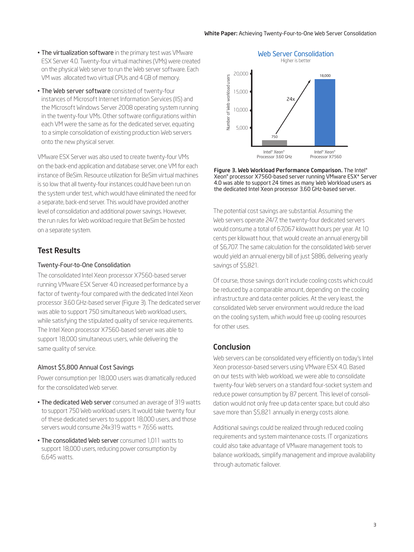- **The virtualization software** in the primary test was VMware ESX Server 4.0. Twenty-four virtual machines (VMs) were created on the physical Web server to run the Web server software. Each VM was allocated two virtual CPUs and 4 GB of memory.
- The Web server software consisted of twenty-four instances of Microsoft Internet Information Services (IIS) and the Microsoft Windows Server 2008 operating system running in the twenty-four VMs. Other software configurations within each VM were the same as for the dedicated server, equating to a simple consolidation of existing production Web servers onto the new physical server.

VMware ESX Server was also used to create twenty-four VMs on the back-end application and database server, one VM for each instance of BeSim. Resource utilization for BeSim virtual machines is so low that all twenty-four instances could have been run on the system under test, which would have eliminated the need for a separate, back-end server. This would have provided another level of consolidation and additional power savings. However, the run rules for Web workload require that BeSim be hosted on a separate system.

#### Test Results

#### Twenty-Four-to-One Consolidation

The consolidated Intel Xeon processor X7560-based server running VMware ESX Server 4.0 increased performance by a factor of twenty-four compared with the dedicated Intel Xeon processor 3.60 GHz-based server (Figure 3). The dedicated server was able to support 750 simultaneous Web workload users, while satisfying the stipulated quality of service requirements. The Intel Xeon processor X7560-based server was able to support 18,000 simultaneous users, while delivering the same quality of service.

#### Almost \$5,800 Annual Cost Savings

Power consumption per 18,000 users was dramatically reduced for the consolidated Web server.

- The dedicated Web server consumed an average of 319 watts to support 750 Web workload users. It would take twenty four of these dedicated servers to support 18,000 users, and those servers would consume 24x319 watts = 7,656 watts.
- The consolidated Web server consumed 1,011 watts to support 18,000 users, reducing power consumption by 6,645 watts.



Figure 3. Web Workload Performance Comparison. The Intel® Xeon® processor X7560-based server running VMware ESX\* Server 4.0 was able to support 24 times as many Web Workload users as the dedicated Intel Xeon processor 3.60 GHz-based server.

The potential cost savings are substantial. Assuming the Web servers operate 24/7, the twenty-four dedicated servers would consume a total of 67,067 kilowatt hours per year. At 10 cents per kilowatt hour, that would create an annual energy bill of \$6,707. The same calculation for the consolidated Web server would yield an annual energy bill of just \$886, delivering yearly savings of \$5,821.

Of course, those savings don't include cooling costs which could be reduced by a comparable amount, depending on the cooling infrastructure and data center policies. At the very least, the consolidated Web server environment would reduce the load on the cooling system, which would free up cooling resources for other uses.

#### Conclusion

Web servers can be consolidated very efficiently on today's Intel Xeon processor-based servers using VMware ESX 4.0. Based on our tests with Web workload, we were able to consolidate twenty-four Web servers on a standard four-socket system and reduce power consumption by 87 percent. This level of consolidation would not only free up data center space, but could also save more than \$5,821 annually in energy costs alone.

Additional savings could be realized through reduced cooling requirements and system maintenance costs. IT organizations could also take advantage of VMware management tools to balance workloads, simplify management and improve availability through automatic failover.